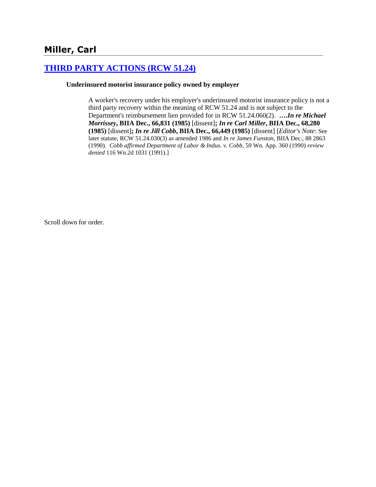## **[THIRD PARTY ACTIONS \(RCW 51.24\)](http://www.biia.wa.gov/SDSubjectIndex.html#THIRD_PARTY_ACTIONS)**

### **Underinsured motorist insurance policy owned by employer**

A worker's recovery under his employer's underinsured motorist insurance policy is not a third party recovery within the meaning of RCW 51.24 and is not subject to the Department's reimbursement lien provided for in RCW 51.24.060(2). **….***In re Michael Morrissey***, BIIA Dec., 66,831 (1985)** [dissent]**;** *In re Carl Miller***, BIIA Dec., 68,280 (1985)** [dissent]**;** *In re Jill Cobb***, BIIA Dec., 66,449 (1985)** [dissent] [*Editor's Note*: See later statute, RCW 51.24.030(3) as amended 1986 and *In re James Funston*, BIIA Dec., 88 2863 (1990). *Cobb affirmed Department of Labor & Indus. v. Cobb*, 59 Wn. App. 360 (1990) *review denied* 116 Wn.2d 1031 (1991).]

Scroll down for order.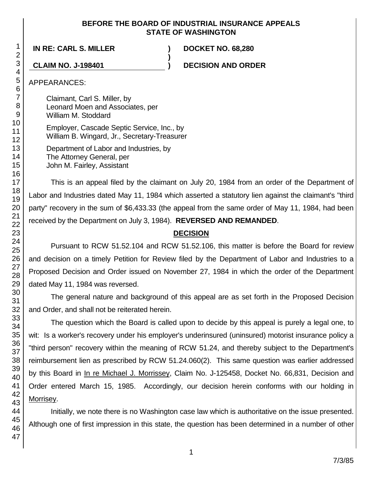### **BEFORE THE BOARD OF INDUSTRIAL INSURANCE APPEALS STATE OF WASHINGTON**

**)**

## **IN RE: CARL S. MILLER ) DOCKET NO. 68,280**

**CLAIM NO. J-198401 ) DECISION AND ORDER**

### APPEARANCES:

Claimant, Carl S. Miller, by Leonard Moen and Associates, per William M. Stoddard

Employer, Cascade Septic Service, Inc., by William B. Wingard, Jr., Secretary-Treasurer

Department of Labor and Industries, by The Attorney General, per John M. Fairley, Assistant

This is an appeal filed by the claimant on July 20, 1984 from an order of the Department of Labor and Industries dated May 11, 1984 which asserted a statutory lien against the claimant's "third party" recovery in the sum of \$6,433.33 (the appeal from the same order of May 11, 1984, had been received by the Department on July 3, 1984). **REVERSED AND REMANDED**.

## **DECISION**

Pursuant to RCW 51.52.104 and RCW 51.52.106, this matter is before the Board for review and decision on a timely Petition for Review filed by the Department of Labor and Industries to a Proposed Decision and Order issued on November 27, 1984 in which the order of the Department dated May 11, 1984 was reversed.

The general nature and background of this appeal are as set forth in the Proposed Decision and Order, and shall not be reiterated herein.

The question which the Board is called upon to decide by this appeal is purely a legal one, to wit: Is a worker's recovery under his employer's underinsured (uninsured) motorist insurance policy a "third person" recovery within the meaning of RCW 51.24, and thereby subject to the Department's reimbursement lien as prescribed by RCW 51.24.060(2). This same question was earlier addressed by this Board in In re Michael J. Morrissey, Claim No. J-125458, Docket No. 66,831, Decision and Order entered March 15, 1985. Accordingly, our decision herein conforms with our holding in Morrisey.

Initially, we note there is no Washington case law which is authoritative on the issue presented. Although one of first impression in this state, the question has been determined in a number of other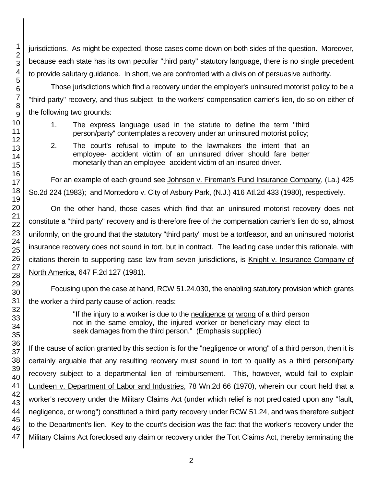jurisdictions. As might be expected, those cases come down on both sides of the question. Moreover, because each state has its own peculiar "third party" statutory language, there is no single precedent to provide salutary guidance. In short, we are confronted with a division of persuasive authority.

Those jurisdictions which find a recovery under the employer's uninsured motorist policy to be a "third party" recovery, and thus subject to the workers' compensation carrier's lien, do so on either of the following two grounds:

- 1. The express language used in the statute to define the term "third person/party" contemplates a recovery under an uninsured motorist policy;
- 2. The court's refusal to impute to the lawmakers the intent that an employee- accident victim of an uninsured driver should fare better monetarily than an employee- accident victim of an insured driver.

For an example of each ground see Johnson v. Fireman's Fund Insurance Company, (La.) 425 So.2d 224 (1983); and Montedoro v. City of Asbury Park, (N.J.) 416 Atl.2d 433 (1980), respectively.

On the other hand, those cases which find that an uninsured motorist recovery does not constitute a "third party" recovery and is therefore free of the compensation carrier's lien do so, almost uniformly, on the ground that the statutory "third party" must be a tortfeasor, and an uninsured motorist insurance recovery does not sound in tort, but in contract. The leading case under this rationale, with citations therein to supporting case law from seven jurisdictions, is Knight v. Insurance Company of North America, 647 F.2d 127 (1981).

Focusing upon the case at hand, RCW 51.24.030, the enabling statutory provision which grants the worker a third party cause of action, reads:

> "If the injury to a worker is due to the negligence or wrong of a third person not in the same employ, the injured worker or beneficiary may elect to seek damages from the third person." (Emphasis supplied)

If the cause of action granted by this section is for the "negligence or wrong" of a third person, then it is certainly arguable that any resulting recovery must sound in tort to qualify as a third person/party recovery subject to a departmental lien of reimbursement. This, however, would fail to explain Lundeen v. Department of Labor and Industries, 78 Wn.2d 66 (1970), wherein our court held that a worker's recovery under the Military Claims Act (under which relief is not predicated upon any "fault, negligence, or wrong") constituted a third party recovery under RCW 51.24, and was therefore subject to the Department's lien. Key to the court's decision was the fact that the worker's recovery under the Military Claims Act foreclosed any claim or recovery under the Tort Claims Act, thereby terminating the

1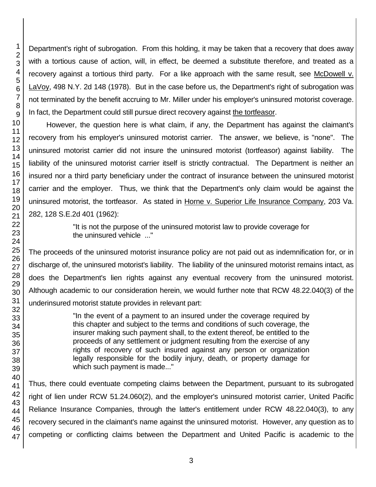Department's right of subrogation. From this holding, it may be taken that a recovery that does away with a tortious cause of action, will, in effect, be deemed a substitute therefore, and treated as a recovery against a tortious third party. For a like approach with the same result, see McDowell v. LaVoy, 498 N.Y. 2d 148 (1978). But in the case before us, the Department's right of subrogation was not terminated by the benefit accruing to Mr. Miller under his employer's uninsured motorist coverage. In fact, the Department could still pursue direct recovery against the tortfeasor.

However, the question here is what claim, if any, the Department has against the claimant's recovery from his employer's uninsured motorist carrier. The answer, we believe, is "none". The uninsured motorist carrier did not insure the uninsured motorist (tortfeasor) against liability. The liability of the uninsured motorist carrier itself is strictly contractual. The Department is neither an insured nor a third party beneficiary under the contract of insurance between the uninsured motorist carrier and the employer. Thus, we think that the Department's only claim would be against the uninsured motorist, the tortfeasor. As stated in Horne v. Superior Life Insurance Company, 203 Va. 282, 128 S.E.2d 401 (1962):

> "It is not the purpose of the uninsured motorist law to provide coverage for the uninsured vehicle ..."

The proceeds of the uninsured motorist insurance policy are not paid out as indemnification for, or in discharge of, the uninsured motorist's liability. The liability of the uninsured motorist remains intact, as does the Department's lien rights against any eventual recovery from the uninsured motorist. Although academic to our consideration herein, we would further note that RCW 48.22.040(3) of the underinsured motorist statute provides in relevant part:

> "In the event of a payment to an insured under the coverage required by this chapter and subject to the terms and conditions of such coverage, the insurer making such payment shall, to the extent thereof, be entitled to the proceeds of any settlement or judgment resulting from the exercise of any rights of recovery of such insured against any person or organization legally responsible for the bodily injury, death, or property damage for which such payment is made..."

Thus, there could eventuate competing claims between the Department, pursuant to its subrogated right of lien under RCW 51.24.060(2), and the employer's uninsured motorist carrier, United Pacific Reliance Insurance Companies, through the latter's entitlement under RCW 48.22.040(3), to any recovery secured in the claimant's name against the uninsured motorist. However, any question as to competing or conflicting claims between the Department and United Pacific is academic to the

1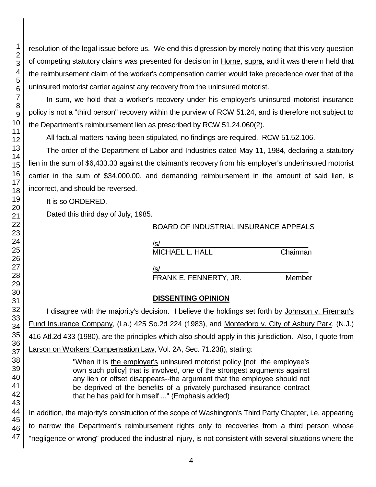resolution of the legal issue before us. We end this digression by merely noting that this very question of competing statutory claims was presented for decision in Horne, supra, and it was therein held that the reimbursement claim of the worker's compensation carrier would take precedence over that of the uninsured motorist carrier against any recovery from the uninsured motorist.

In sum, we hold that a worker's recovery under his employer's uninsured motorist insurance policy is not a "third person" recovery within the purview of RCW 51.24, and is therefore not subject to the Department's reimbursement lien as prescribed by RCW 51.24.060(2).

All factual matters having been stipulated, no findings are required. RCW 51.52.106.

The order of the Department of Labor and Industries dated May 11, 1984, declaring a statutory lien in the sum of \$6,433.33 against the claimant's recovery from his employer's underinsured motorist carrier in the sum of \$34,000.00, and demanding reimbursement in the amount of said lien, is incorrect, and should be reversed.

It is so ORDERED.

Dated this third day of July, 1985.

## BOARD OF INDUSTRIAL INSURANCE APPEALS

/s/  $\,$ 

MICHAEL L. HALL Chairman

/s/\_\_\_\_\_\_\_\_\_\_\_\_\_\_\_\_\_\_\_\_\_\_\_\_\_\_\_\_\_\_\_\_\_\_\_\_\_ FRANK E. FENNERTY, JR. Member

# **DISSENTING OPINION**

I disagree with the majority's decision. I believe the holdings set forth by Johnson v. Fireman's Fund Insurance Company, (La.) 425 So.2d 224 (1983), and Montedoro v. City of Asbury Park, (N.J.) 416 Atl.2d 433 (1980), are the principles which also should apply in this jurisdiction. Also, I quote from Larson on Workers' Compensation Law, Vol. 2A, Sec. 71.23(i), stating:

> "When it is the employer's uninsured motorist policy [not the employee's own such policy] that is involved, one of the strongest arguments against any lien or offset disappears--the argument that the employee should not be deprived of the benefits of a privately-purchased insurance contract that he has paid for himself ..." (Emphasis added)

In addition, the majority's construction of the scope of Washington's Third Party Chapter, i.e, appearing to narrow the Department's reimbursement rights only to recoveries from a third person whose "negligence or wrong" produced the industrial injury, is not consistent with several situations where the